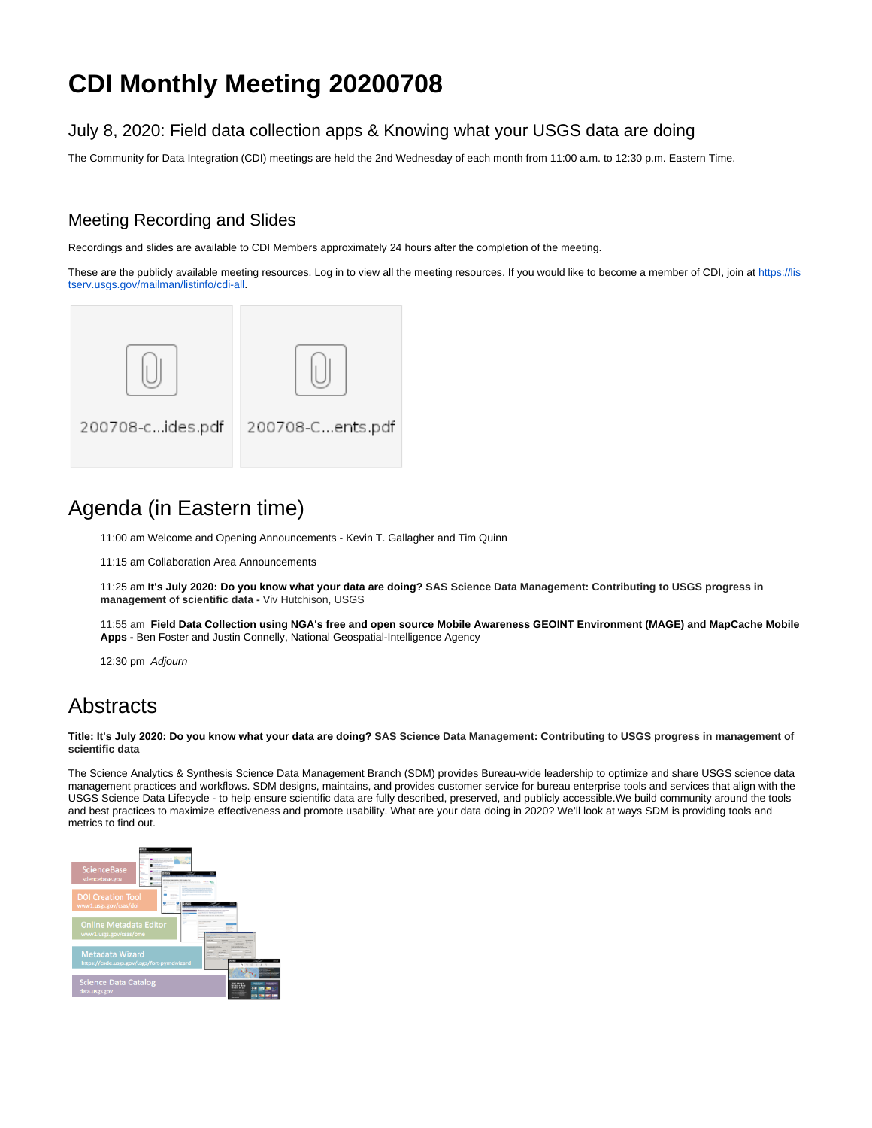# **CDI Monthly Meeting 20200708**

#### July 8, 2020: Field data collection apps & Knowing what your USGS data are doing

The Community for Data Integration (CDI) meetings are held the 2nd Wednesday of each month from 11:00 a.m. to 12:30 p.m. Eastern Time.

### Meeting Recording and Slides

Recordings and slides are available to CDI Members approximately 24 hours after the completion of the meeting.

These are the publicly available meeting resources. Log in to view all the meeting resources. If you would like to become a member of CDI, join at [https://lis](https://listserv.usgs.gov/mailman/listinfo/cdi-all) [tserv.usgs.gov/mailman/listinfo/cdi-all.](https://listserv.usgs.gov/mailman/listinfo/cdi-all)



# Agenda (in Eastern time)

11:00 am Welcome and Opening Announcements - Kevin T. Gallagher and Tim Quinn

11:15 am Collaboration Area Announcements

11:25 am **It's July 2020: Do you know what your data are doing? SAS Science Data Management: Contributing to USGS progress in management of scientific data -** Viv Hutchison, USGS

11:55 am **Field Data Collection using NGA's free and open source Mobile Awareness GEOINT Environment (MAGE) and MapCache Mobile Apps -** Ben Foster and Justin Connelly, National Geospatial-Intelligence Agency

12:30 pm Adjourn

## **Abstracts**

**Title: It's July 2020: Do you know what your data are doing? SAS Science Data Management: Contributing to USGS progress in management of scientific data**

The Science Analytics & Synthesis Science Data Management Branch (SDM) provides Bureau-wide leadership to optimize and share USGS science data management practices and workflows. SDM designs, maintains, and provides customer service for bureau enterprise tools and services that align with the USGS Science Data Lifecycle - to help ensure scientific data are fully described, preserved, and publicly accessible.We build community around the tools and best practices to maximize effectiveness and promote usability. What are your data doing in 2020? We'll look at ways SDM is providing tools and metrics to find out.

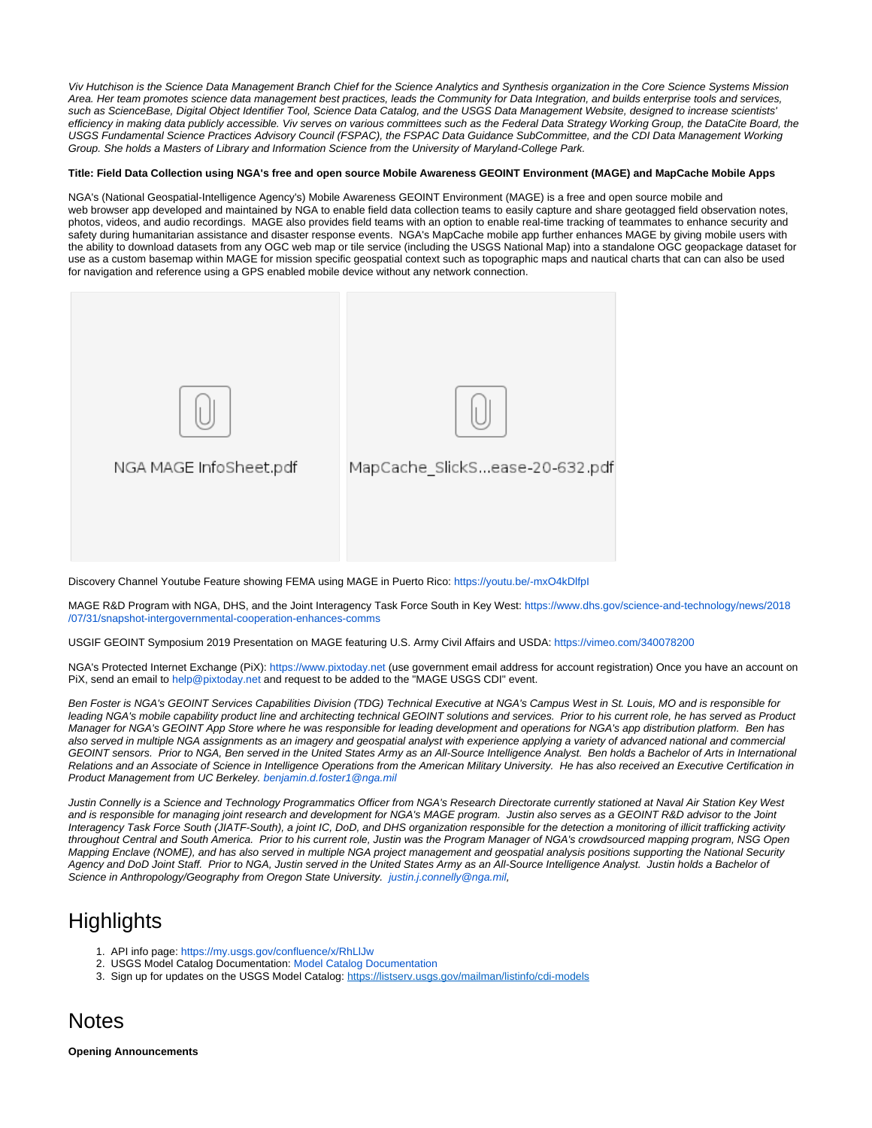Viv Hutchison is the Science Data Management Branch Chief for the Science Analytics and Synthesis organization in the Core Science Systems Mission Area. Her team promotes science data management best practices, leads the Community for Data Integration, and builds enterprise tools and services, such as ScienceBase, Digital Object Identifier Tool, Science Data Catalog, and the USGS Data Management Website, designed to increase scientists' efficiency in making data publicly accessible. Viv serves on various committees such as the Federal Data Strategy Working Group, the DataCite Board, the USGS Fundamental Science Practices Advisory Council (FSPAC), the FSPAC Data Guidance SubCommittee, and the CDI Data Management Working Group. She holds a Masters of Library and Information Science from the University of Maryland-College Park.

#### **Title: Field Data Collection using NGA's free and open source Mobile Awareness GEOINT Environment (MAGE) and MapCache Mobile Apps**

NGA's (National Geospatial-Intelligence Agency's) Mobile Awareness GEOINT Environment (MAGE) is a free and open source mobile and web browser app developed and maintained by NGA to enable field data collection teams to easily capture and share geotagged field observation notes, photos, videos, and audio recordings. MAGE also provides field teams with an option to enable real-time tracking of teammates to enhance security and safety during humanitarian assistance and disaster response events. NGA's MapCache mobile app further enhances MAGE by giving mobile users with the ability to download datasets from any OGC web map or tile service (including the USGS National Map) into a standalone OGC geopackage dataset for use as a custom basemap within MAGE for mission specific geospatial context such as topographic maps and nautical charts that can can also be used for navigation and reference using a GPS enabled mobile device without any network connection.



Discovery Channel Youtube Feature showing FEMA using MAGE in Puerto Rico: <https://youtu.be/-mxO4kDlfpI>

MAGE R&D Program with NGA, DHS, and the Joint Interagency Task Force South in Key West: [https://www.dhs.gov/science-and-technology/news/2018](https://www.dhs.gov/science-and-technology/news/2018/07/31/snapshot-intergovernmental-cooperation-enhances-comms) [/07/31/snapshot-intergovernmental-cooperation-enhances-comms](https://www.dhs.gov/science-and-technology/news/2018/07/31/snapshot-intergovernmental-cooperation-enhances-comms)

USGIF GEOINT Symposium 2019 Presentation on MAGE featuring U.S. Army Civil Affairs and USDA:<https://vimeo.com/340078200>

NGA's Protected Internet Exchange (PiX): [https://www.pixtoday.net](https://www.pixtoday.net/) (use government email address for account registration) Once you have an account on PiX, send an email to [help@pixtoday.net](mailto:help@pixtoday.net) and request to be added to the "MAGE USGS CDI" event.

Ben Foster is NGA's GEOINT Services Capabilities Division (TDG) Technical Executive at NGA's Campus West in St. Louis, MO and is responsible for leading NGA's mobile capability product line and architecting technical GEOINT solutions and services. Prior to his current role, he has served as Product Manager for NGA's GEOINT App Store where he was responsible for leading development and operations for NGA's app distribution platform. Ben has also served in multiple NGA assignments as an imagery and geospatial analyst with experience applying a variety of advanced national and commercial GEOINT sensors. Prior to NGA, Ben served in the United States Army as an All-Source Intelligence Analyst. Ben holds a Bachelor of Arts in International Relations and an Associate of Science in Intelligence Operations from the American Military University. He has also received an Executive Certification in Product Management from UC Berkeley. [benjamin.d.foster1@nga.mil](mailto:benjamin.d.foster1@nga.mil)

Justin Connelly is a Science and Technology Programmatics Officer from NGA's Research Directorate currently stationed at Naval Air Station Key West and is responsible for managing joint research and development for NGA's MAGE program. Justin also serves as a GEOINT R&D advisor to the Joint Interagency Task Force South (JIATF-South), a joint IC, DoD, and DHS organization responsible for the detection a monitoring of illicit trafficking activity throughout Central and South America. Prior to his current role, Justin was the Program Manager of NGA's crowdsourced mapping program, NSG Open Mapping Enclave (NOME), and has also served in multiple NGA project management and geospatial analysis positions supporting the National Security Agency and DoD Joint Staff. Prior to NGA, Justin served in the United States Army as an All-Source Intelligence Analyst. Justin holds a Bachelor of Science in Anthropology/Geography from Oregon State University. justin.j.connelly@nga.mil.

## **Highlights**

- 1. API info page:<https://my.usgs.gov/confluence/x/RhLlJw>
- 2. USGS Model Catalog Documentation: [Model Catalog Documentation](https://my.usgs.gov/confluence/display/cdi/Model+Catalog+Documentation)
- 3. Sign up for updates on the USGS Model Catalog: <https://listserv.usgs.gov/mailman/listinfo/cdi-models>

### Notes

**Opening Announcements**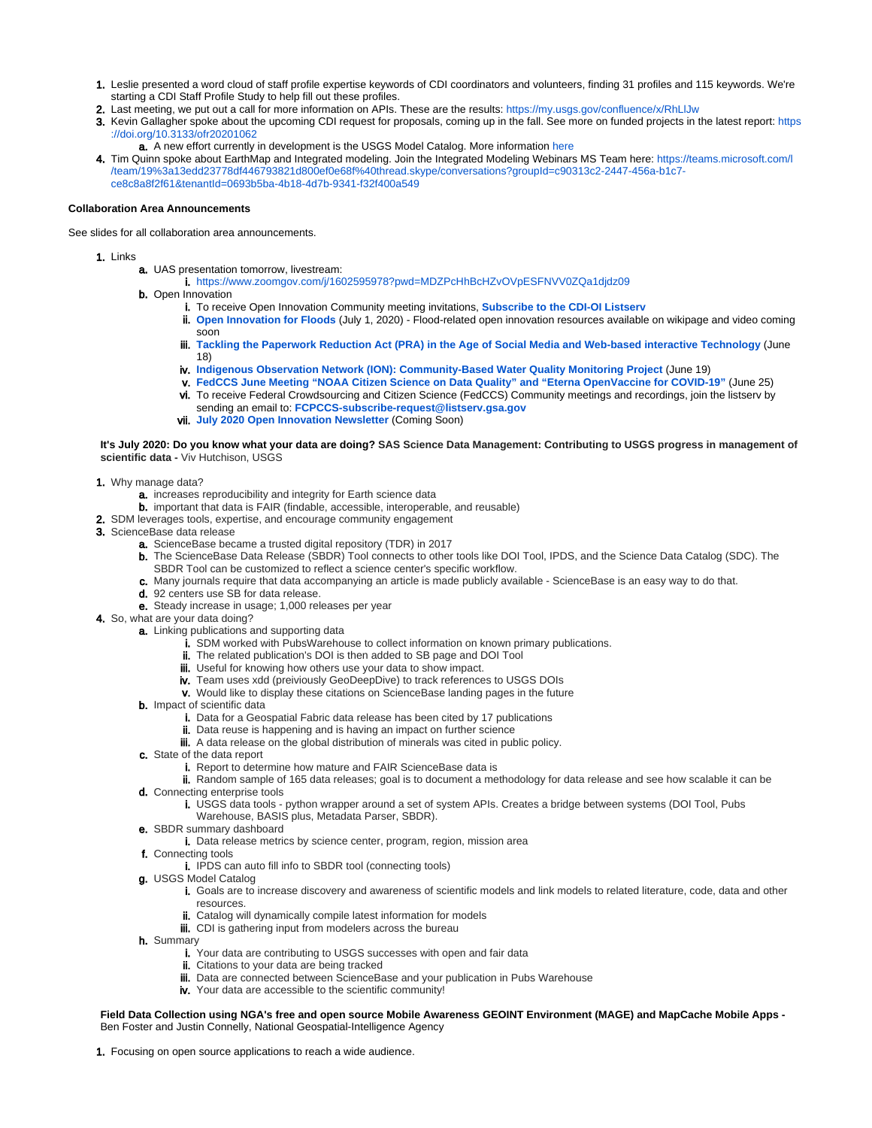- 1. Leslie presented a word cloud of staff profile expertise keywords of CDI coordinators and volunteers, finding 31 profiles and 115 keywords. We're starting a CDI Staff Profile Study to help fill out these profiles.
- 2. Last meeting, we put out a call for more information on APIs. These are the results: https://my.usgs.gov/confluence/x/RhLIJw
- 3. Kevin Gallagher spoke about the upcoming CDI request for proposals, coming up in the fall. See more on funded projects in the latest report: [https](https://doi.org/10.3133/ofr20201062) [://doi.org/10.3133/ofr20201062](https://doi.org/10.3133/ofr20201062)
	- **a.** A new effort currently in development is the USGS Model Catalog. More information [here](https://my.usgs.gov/confluence/display/cdi/Model+Catalog+Documentation)
- 4. Tim Quinn spoke about EarthMap and Integrated modeling. Join the Integrated Modeling Webinars MS Team here: [https://teams.microsoft.com/l](https://teams.microsoft.com/l/team/19%3a13edd23778df446793821d800ef0e68f%40thread.skype/conversations?groupId=c90313c2-2447-456a-b1c7-ce8c8a8f2f61&tenantId=0693b5ba-4b18-4d7b-9341-f32f400a5494) [/team/19%3a13edd23778df446793821d800ef0e68f%40thread.skype/conversations?groupId=c90313c2-2447-456a-b1c7](https://teams.microsoft.com/l/team/19%3a13edd23778df446793821d800ef0e68f%40thread.skype/conversations?groupId=c90313c2-2447-456a-b1c7-ce8c8a8f2f61&tenantId=0693b5ba-4b18-4d7b-9341-f32f400a5494) [ce8c8a8f2f61&tenantId=0693b5ba-4b18-4d7b-9341-f32f400a549](https://teams.microsoft.com/l/team/19%3a13edd23778df446793821d800ef0e68f%40thread.skype/conversations?groupId=c90313c2-2447-456a-b1c7-ce8c8a8f2f61&tenantId=0693b5ba-4b18-4d7b-9341-f32f400a5494)

#### **Collaboration Area Announcements**

See slides for all collaboration area announcements.

- 1. Links
	- a. UAS presentation tomorrow, livestream:
		- i. <https://www.zoomgov.com/j/1602595978?pwd=MDZPcHhBcHZvOVpESFNVV0ZQa1djdz09>
	- **b.** Open Innovation
		- i. To receive Open Innovation Community meeting invitations, **[Subscribe to the CDI-OI Listserv](https://listserv.usgs.gov/mailman/listinfo/cdi-openinnovation)**
		- ii. **[Open Innovation for Floods](https://my.usgs.gov/confluence/display/cdi/July+1%2C+2020)** (July 1, 2020) Flood-related open innovation resources available on wikipage and video coming soon
		- iii. **[Tackling the Paperwork Reduction Act \(PRA\) in the Age of Social Media and Web-based interactive Technology](https://my.usgs.gov/confluence/display/cdi/June+18%2C+2020)** (June 18)
		- iv. **[Indigenous Observation Network \(ION\): Community-Based Water Quality Monitoring Project](https://my.usgs.gov/confluence/display/cdi/June+19%2C+2020)** (June 19)
		- v. **[FedCCS June Meeting "NOAA Citizen Science on Data Quality" and "Eterna OpenVaccine for COVID-19"](https://my.usgs.gov/confluence/display/cdi/June+25%2C+2020)** (June 25)
		- vi. To receive Federal Crowdsourcing and Citizen Science (FedCCS) Community meetings and recordings, join the listserv by
		- sending an email to: **[FCPCCS-subscribe-request@listserv.gsa.gov](mailto:FCPCCS-subscribe-request@listserv.gsa.gov)**
		- vii. **[July 2020 Open Innovation Newsletter](https://my.usgs.gov/confluence/display/cdi/July+2020+OI+Newsletter)** (Coming Soon)

**It's July 2020: Do you know what your data are doing? SAS Science Data Management: Contributing to USGS progress in management of scientific data -** Viv Hutchison, USGS

- 1. Why manage data?
	- a. increases reproducibility and integrity for Earth science data
	- b. important that data is FAIR (findable, accessible, interoperable, and reusable)
- 2. SDM leverages tools, expertise, and encourage community engagement
- 3. ScienceBase data release
	- a. ScienceBase became a trusted digital repository (TDR) in 2017
	- b. The ScienceBase Data Release (SBDR) Tool connects to other tools like DOI Tool, IPDS, and the Science Data Catalog (SDC). The SBDR Tool can be customized to reflect a science center's specific workflow.
	- c. Many journals require that data accompanying an article is made publicly available ScienceBase is an easy way to do that.
	- d. 92 centers use SB for data release.
	- e. Steady increase in usage; 1,000 releases per year
- 4. So, what are your data doing?
	- a. Linking publications and supporting data
		- i. SDM worked with PubsWarehouse to collect information on known primary publications.
		- ii. The related publication's DOI is then added to SB page and DOI Tool
		- iii. Useful for knowing how others use your data to show impact.
		- iv. Team uses xdd (preiviously GeoDeepDive) to track references to USGS DOIs
		- v. Would like to display these citations on ScienceBase landing pages in the future
	- **b.** Impact of scientific data
		- i. Data for a Geospatial Fabric data release has been cited by 17 publications
		- ii. Data reuse is happening and is having an impact on further science
		- iii. A data release on the global distribution of minerals was cited in public policy.
	- c. State of the data report
		- i. Report to determine how mature and FAIR ScienceBase data is
	- ii. Random sample of 165 data releases; goal is to document a methodology for data release and see how scalable it can be d. Connecting enterprise tools
		- i. USGS data tools python wrapper around a set of system APIs. Creates a bridge between systems (DOI Tool, Pubs Warehouse, BASIS plus, Metadata Parser, SBDR).
	- e. SBDR summary dashboard
		- i. Data release metrics by science center, program, region, mission area
	- f. Connecting tools
	- i. IPDS can auto fill info to SBDR tool (connecting tools)
	- g. USGS Model Catalog
		- i. Goals are to increase discovery and awareness of scientific models and link models to related literature, code, data and other resources.
		- ii. Catalog will dynamically compile latest information for models
		- iii. CDI is gathering input from modelers across the bureau
	- h. Summary
		- i. Your data are contributing to USGS successes with open and fair data
		- ii. Citations to your data are being tracked
		- iii. Data are connected between ScienceBase and your publication in Pubs Warehouse
		- iv. Your data are accessible to the scientific community!

**Field Data Collection using NGA's free and open source Mobile Awareness GEOINT Environment (MAGE) and MapCache Mobile Apps -** Ben Foster and Justin Connelly, National Geospatial-Intelligence Agency

1. Focusing on open source applications to reach a wide audience.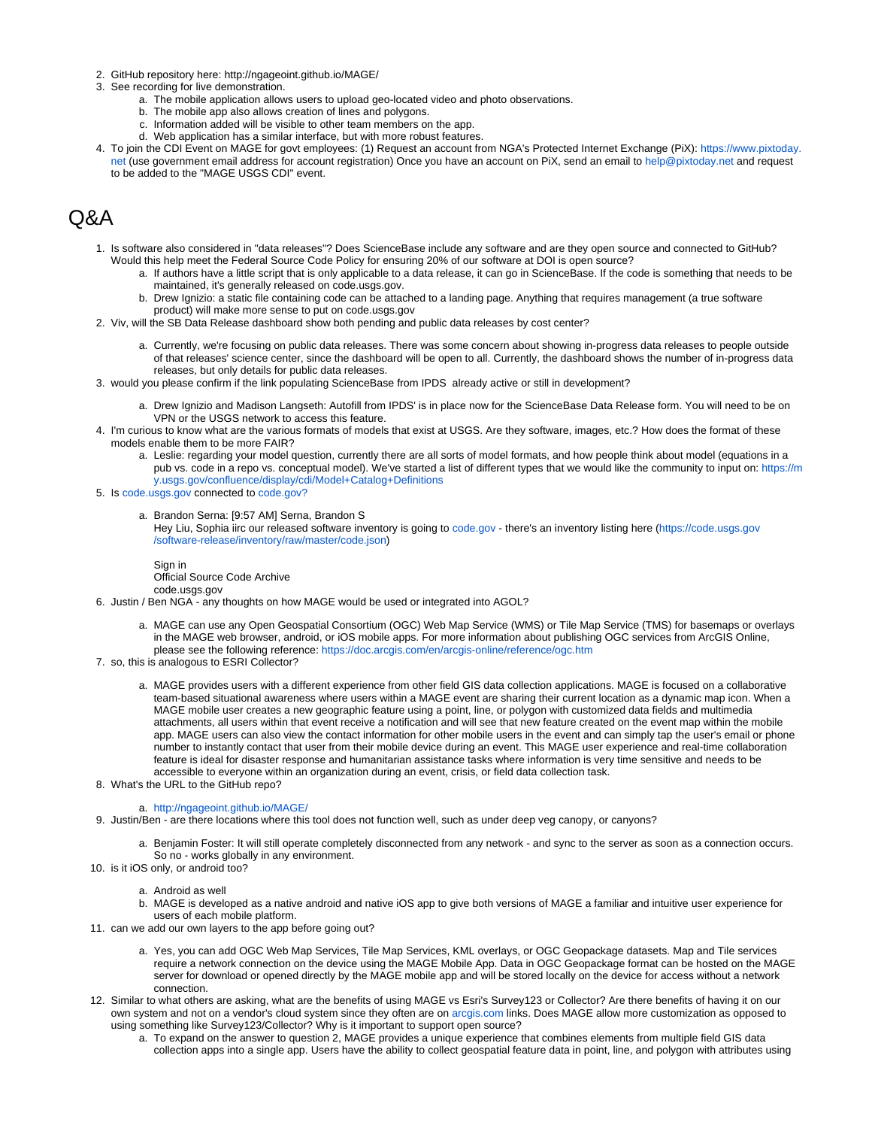- 2. GitHub repository here: <http://ngageoint.github.io/MAGE/>
- 3. See recording for live demonstration.
	- a. The mobile application allows users to upload geo-located video and photo observations.
	- b. The mobile app also allows creation of lines and polygons.
	- c. Information added will be visible to other team members on the app.
	- d. Web application has a similar interface, but with more robust features.
- 4. To join the CDI Event on MAGE for govt employees: (1) Request an account from NGA's Protected Internet Exchange (PiX): [https://www.pixtoday.](https://www.pixtoday.net/) [net](https://www.pixtoday.net/) (use government email address for account registration) Once you have an account on PiX, send an email to [help@pixtoday.net](mailto:help@pixtoday.net) and request to be added to the "MAGE USGS CDI" event.

# $\alpha$ A

- 1. Is software also considered in "data releases"? Does ScienceBase include any software and are they open source and connected to GitHub? Would this help meet the Federal Source Code Policy for ensuring 20% of our software at DOI is open source?
	- a. If authors have a little script that is only applicable to a data release, it can go in ScienceBase. If the code is something that needs to be maintained, it's generally released on code.usgs.gov.
		- b. Drew Ignizio: a static file containing code can be attached to a landing page. Anything that requires management (a true software product) will make more sense to put on code.usgs.gov
- 2. Viv, will the SB Data Release dashboard show both pending and public data releases by cost center?
	- a. Currently, we're focusing on public data releases. There was some concern about showing in-progress data releases to people outside of that releases' science center, since the dashboard will be open to all. Currently, the dashboard shows the number of in-progress data releases, but only details for public data releases.
- 3. would you please confirm if the link populating ScienceBase from IPDS already active or still in development?
	- a. Drew Ignizio and Madison Langseth: Autofill from IPDS' is in place now for the ScienceBase Data Release form. You will need to be on VPN or the USGS network to access this feature.
- 4. I'm curious to know what are the various formats of models that exist at USGS. Are they software, images, etc.? How does the format of these models enable them to be more FAIR?
	- a. Leslie: regarding your model question, currently there are all sorts of model formats, and how people think about model (equations in a pub vs. code in a repo vs. conceptual model). We've started a list of different types that we would like the community to input on: [https://m](https://my.usgs.gov/confluence/display/cdi/Model+Catalog+Definitions) [y.usgs.gov/confluence/display/cdi/Model+Catalog+Definitions](https://my.usgs.gov/confluence/display/cdi/Model+Catalog+Definitions)
- 5. Is [code.usgs.gov](http://code.usgs.gov) connected to [code.gov?](http://code.gov)
	- a. Brandon Serna: [9:57 AM] Serna, Brandon S Hey Liu, Sophia iirc our released software inventory is going to [code.gov](http://code.gov) - there's an inventory listing here ([https://code.usgs.gov](https://code.usgs.gov/software-release/inventory/raw/master/code.json) [/software-release/inventory/raw/master/code.json](https://code.usgs.gov/software-release/inventory/raw/master/code.json))

Sign in Official Source Code Archive

- 6. Justin / Ben NGA any thoughts on how MAGE would be used or integrated into AGOL? code.usgs.gov
	- a. MAGE can use any Open Geospatial Consortium (OGC) Web Map Service (WMS) or Tile Map Service (TMS) for basemaps or overlays in the MAGE web browser, android, or iOS mobile apps. For more information about publishing OGC services from ArcGIS Online, please see the following reference: <https://doc.arcgis.com/en/arcgis-online/reference/ogc.htm>
- 7. so, this is analogous to ESRI Collector?
	- a. MAGE provides users with a different experience from other field GIS data collection applications. MAGE is focused on a collaborative team-based situational awareness where users within a MAGE event are sharing their current location as a dynamic map icon. When a MAGE mobile user creates a new geographic feature using a point, line, or polygon with customized data fields and multimedia attachments, all users within that event receive a notification and will see that new feature created on the event map within the mobile app. MAGE users can also view the contact information for other mobile users in the event and can simply tap the user's email or phone number to instantly contact that user from their mobile device during an event. This MAGE user experience and real-time collaboration feature is ideal for disaster response and humanitarian assistance tasks where information is very time sensitive and needs to be accessible to everyone within an organization during an event, crisis, or field data collection task.
- 8. What's the URL to the GitHub repo?

#### a. <http://ngageoint.github.io/MAGE/>

- 9. Justin/Ben are there locations where this tool does not function well, such as under deep veg canopy, or canyons?
	- a. Benjamin Foster: It will still operate completely disconnected from any network and sync to the server as soon as a connection occurs. So no - works globally in any environment.
- 10. is it iOS only, or android too?
	- a. Android as well
	- b. MAGE is developed as a native android and native iOS app to give both versions of MAGE a familiar and intuitive user experience for users of each mobile platform.
- 11. can we add our own layers to the app before going out?
	- a. Yes, you can add OGC Web Map Services, Tile Map Services, KML overlays, or OGC Geopackage datasets. Map and Tile services require a network connection on the device using the MAGE Mobile App. Data in OGC Geopackage format can be hosted on the MAGE server for download or opened directly by the MAGE mobile app and will be stored locally on the device for access without a network connection.
- 12. Similar to what others are asking, what are the benefits of using MAGE vs Esri's Survey123 or Collector? Are there benefits of having it on our own system and not on a vendor's cloud system since they often are on [arcgis.com](http://arcgis.com) links. Does MAGE allow more customization as opposed to using something like Survey123/Collector? Why is it important to support open source?
	- a. To expand on the answer to question 2, MAGE provides a unique experience that combines elements from multiple field GIS data collection apps into a single app. Users have the ability to collect geospatial feature data in point, line, and polygon with attributes using